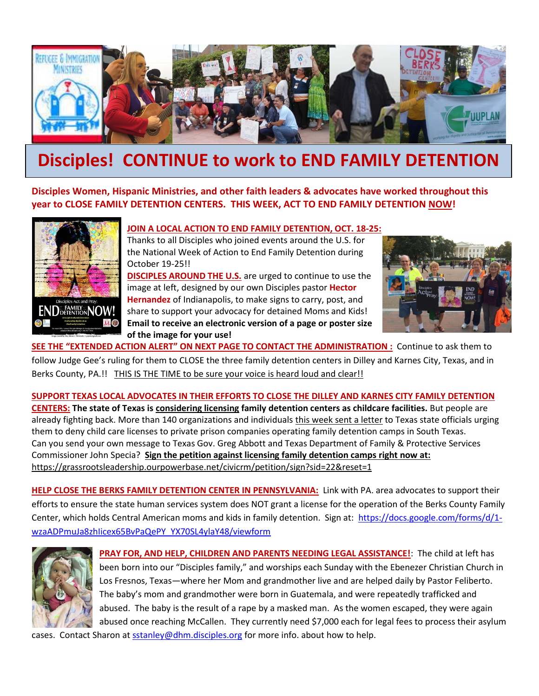

## **Disciples! CONTINUE to work to END FAMILY DETENTION**

**Disciples Women, Hispanic Ministries, and other faith leaders & advocates have worked throughout this year to CLOSE FAMILY DETENTION CENTERS. THIS WEEK, ACT TO END FAMILY DETENTION NOW!**



## **JOIN A LOCAL ACTION TO END FAMILY DETENTION, OCT. 18-25:**

Thanks to all Disciples who joined events around the U.S. for the National Week of Action to End Family Detention during October 19-25!!

**DISCIPLES AROUND THE U.S.** are urged to continue to use the image at left, designed by our own Disciples pastor **Hector Hernandez** of Indianapolis, to make signs to carry, post, and share to support your advocacy for detained Moms and Kids! **Email to receive an electronic version of a page or poster size of the image for your use!**



**SEE THE "EXTENDED ACTION ALERT" ON NEXT PAGE TO CONTACT THE ADMINISTRATION :** Continue to ask them to follow Judge Gee's ruling for them to CLOSE the three family detention centers in Dilley and Karnes City, Texas, and in Berks County, PA.!! THIS IS THE TIME to be sure your voice is heard loud and clear!!

**SUPPORT TEXAS LOCAL ADVOCATES IN THEIR EFFORTS TO CLOSE THE DILLEY AND KARNES CITY FAMILY DETENTION CENTERS: The state of Texas is [considering licensing](https://grassrootsleadership.ourpowerbase.net/sites/all/modules/civicrm/extern/url.php?u=5715&qid=336639) family detention centers as childcare facilities.** But people are already fighting back. More than 140 organizations and individuals this week [sent a letter](https://grassrootsleadership.ourpowerbase.net/sites/all/modules/civicrm/extern/url.php?u=5713&qid=336639) to Texas state officials urging them to deny child care licenses to private prison companies operating family detention camps in South Texas. Can you send your own message to Texas Gov. Greg Abbott and Texas Department of Family & Protective Services Commissioner John Specia? **[Sign the petition against licensing family detention camps](https://grassrootsleadership.ourpowerbase.net/sites/all/modules/civicrm/extern/url.php?u=5714&qid=336639) right [now](https://grassrootsleadership.ourpowerbase.net/sites/all/modules/civicrm/extern/url.php?u=5714&qid=336639) at:**  <https://grassrootsleadership.ourpowerbase.net/civicrm/petition/sign?sid=22&reset=1>

**HELP CLOSE THE BERKS FAMILY DETENTION CENTER IN PENNSYLVANIA:** Link with PA. area advocates to support their efforts to ensure the state human services system does NOT grant a license for the operation of the Berks County Family Center, which holds Central American moms and kids in family detention. Sign at: [https://docs.google.com/forms/d/1](https://docs.google.com/forms/d/1-wzaADPmuJa8zhIicex65BvPaQePY_YX70SL4ylaY48/viewform) [wzaADPmuJa8zhIicex65BvPaQePY\\_YX70SL4ylaY48/viewform](https://docs.google.com/forms/d/1-wzaADPmuJa8zhIicex65BvPaQePY_YX70SL4ylaY48/viewform)



**PRAY FOR, AND HELP, CHILDREN AND PARENTS NEEDING LEGAL ASSISTANCE!**: The child at left has been born into our "Disciples family," and worships each Sunday with the Ebenezer Christian Church in Los Fresnos, Texas—where her Mom and grandmother live and are helped daily by Pastor Feliberto. The baby's mom and grandmother were born in Guatemala, and were repeatedly trafficked and abused. The baby is the result of a rape by a masked man. As the women escaped, they were again abused once reaching McCallen. They currently need \$7,000 each for legal fees to process their asylum

cases. Contact Sharon a[t sstanley@dhm.disciples.org](mailto:sstanley@dhm.disciples.org) for more info. about how to help.